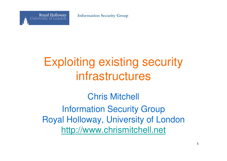**Information Security Group**



## Exploiting existing security infrastructures

Chris MitchellInformation Security Group Royal Holloway, University of Londonhttp://www.chrismitchell.net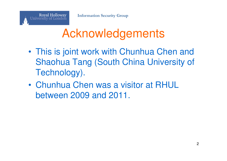

- • This is joint work with Chunhua Chen and Shaohua Tang (South China University of Technology).
- • Chunhua Chen was a visitor at RHUL between 2009 and 2011.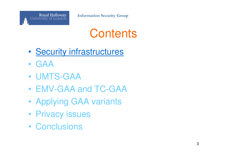

### **Contents**

- •**Security infrastructures**
- •GAA
- •UMTS-GAA
- •EMV-GAA and TC-GAA
- •Applying GAA variants
- •Privacy issues
- •**Conclusions**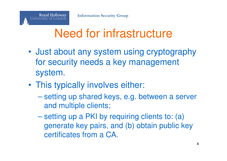# Need for infrastructure

- • Just about any system using cryptography for security needs a key management system.
- •This typically involves either:

Royal Holloway<br>University of London

- setting up shared keys, e.g. between a server and multiple clients;
- $\mathcal{L}_{\mathcal{A}}$  , the state of the state of the state  $\mathcal{L}_{\mathcal{A}}$ setting up a PKI by requiring clients to: (a) generate key pairs, and (b) obtain public key certificates from a CA.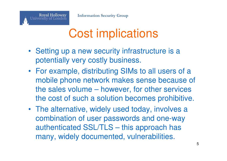**Royal Holloway** 

University of London



- Setting up a new security infrastructure is a potentially very costly business.
- For example, distributing SIMs to all users of a mobile phone network makes sense because of the sales volume – however, for other services the cost of such a solution becomes prohibitive.
- The alternative, widely used today, involves a combination of user passwords and one-way authenticated SSL/TLS – this approach has many, widely documented, vulnerabilities.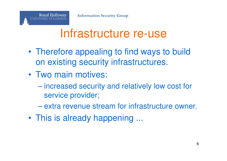

#### Infrastructure re-use

- • Therefore appealing to find ways to build on existing security infrastructures.
- • Two main motives:
	- increased security and relatively low cost for service provider;
	- $\mathcal{L}_{\mathcal{A}}$ extra revenue stream for infrastructure owner.
- •This is already happening ...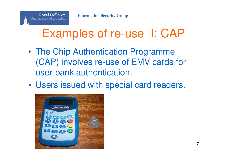## Examples of re-use I: CAP

- • The Chip Authentication Programme (CAP) involves re-use of EMV cards for user-bank authentication.
- •Users issued with special card readers.



Royal Holloway<br>University of London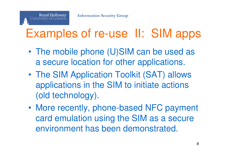

## Examples of re-use II: SIM apps

- • The mobile phone (U)SIM can be used as a secure location for other applications.
- • The SIM Application Toolkit (SAT) allows applications in the SIM to initiate actions (old technology).
- • More recently, phone-based NFC payment card emulation using the SIM as a secure environment has been demonstrated.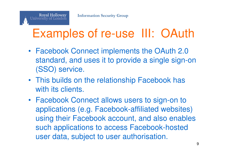**Royal Holloway** 

University of London

## Examples of re-use III: OAuth

- Facebook Connect implements the OAuth 2.0 standard, and uses it to provide a single sign-on (SSO) service.
- This builds on the relationship Facebook has with its clients.
- Facebook Connect allows users to sign-on to applications (e.g. Facebook-affiliated websites) using their Facebook account, and also enables such applications to access Facebook-hosted user data, subject to user authorisation.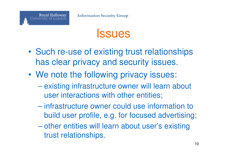

#### **Issues**

- • Such re-use of existing trust relationships has clear privacy and security issues.
- •We note the following privacy issues:
	- existing infrastructure owner will learn about user interactions with other entities;
	- $\mathcal{L}_{\mathcal{A}}$  infrastructure owner could use information to build user profile, e.g. for focused advertising;
	- other entities will learn about user's existing trust relationships.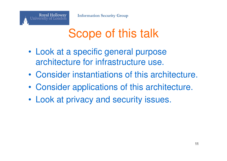

## Scope of this talk

- • Look at a specific general purpose architecture for infrastructure use.
- •Consider instantiations of this architecture.
- •Consider applications of this architecture.
- •Look at privacy and security issues.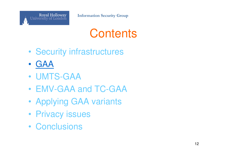

#### **Contents**

- •Security infrastructures
- •GAA
- •UMTS-GAA
- •EMV-GAA and TC-GAA
- •Applying GAA variants
- •Privacy issues
- •**Conclusions**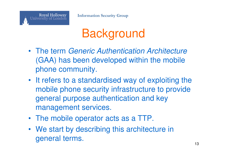

## **Background**

- The term Generic Authentication Architecture (GAA) has been developed within the mobile phone community.
- It refers to a standardised way of exploiting the mobile phone security infrastructure to provide general purpose authentication and key management services.
- The mobile operator acts as a TTP.
- We start by describing this architecture in general terms. $13$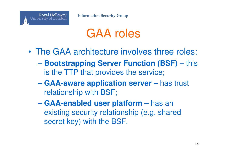### GAA roles

- • The GAA architecture involves three roles:
	- **Bootstrapping Server Function (BSF)** this is the TTP that provides the service;
	- **Hart Committee GAA-aware application server** – has trust relationship with BSF;
	- $\mathcal{L}_{\mathcal{A}}$  , the state of the state of the state  $\mathcal{L}_{\mathcal{A}}$  **GAA-enabled user platform** – has an existing security relationship (e.g. shared secret key) with the BSF.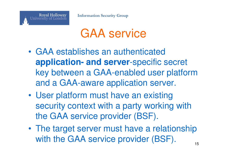

## GAA service

- • GAA establishes an authenticated **application- and server**-specific secret key between a GAA-enabled user platform and a GAA-aware application server.
- • User platform must have an existing security context with a party working with the GAA service provider (BSF).
- • The target server must have a relationship with the GAA service provider (BSF).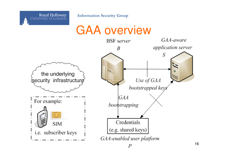

**Information Security Group**

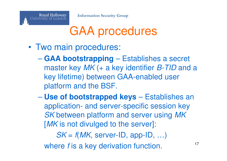## GAA procedures

•Two main procedures:

**Royal Holloway** 

University of London

- $\mathcal{L}_{\mathcal{A}}$  **GAA bootstrapping** – Establishes a secret master key *MK* (+ a key identifier *B-TID* and a key lifetime) between GAA-enabled user platform and the BSF.
- $\mathcal{L}_{\mathcal{A}}$  , the state of the state of the state  $\mathcal{L}_{\mathcal{A}}$  **Use of bootstrapped keys** – Establishes an application- and server-specific session key SK between platform and server using MK [MK is not divulged to the server]:

 $\mathsf{SK} = \mathit{f(MK, server\text{-}ID, app\text{-}ID, ...)}$ where  $f$  is a key derivation function.  $17$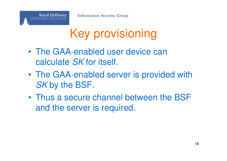**Royal Holloway** 

University of London



- • The GAA-enabled user device can calculate SK for itself.
- • The GAA-enabled server is provided with SK by the BSF.
- • Thus a secure channel between the BSF and the server is required.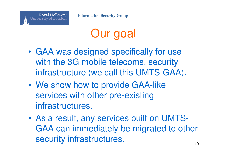## Our goal

- • GAA was designed specifically for use with the 3G mobile telecoms. security infrastructure (we call this UMTS-GAA).
- • We show how to provide GAA-like services with other pre-existing infrastructures.
- • As a result, any services built on UMTS-GAA can immediately be migrated to other security infrastructures.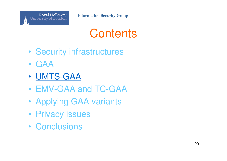

#### **Contents**

- •Security infrastructures
- •GAA
- •• <u>UMTS-GAA</u>
- •EMV-GAA and TC-GAA
- •Applying GAA variants
- •Privacy issues
- •**Conclusions**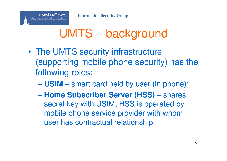

## UMTS – background

- • The UMTS security infrastructure (supporting mobile phone security) has the following roles:
	- **Hart Committee USIM** – smart card held by user (in phone);
	- $\mathcal{L}_{\mathcal{A}}$  , the state of the state of the state  $\mathcal{L}_{\mathcal{A}}$  **Home Subscriber Server (HSS)** – shares secret key with USIM; HSS is operated by mobile phone service provider with whom user has contractual relationship.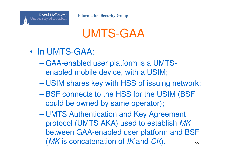

## UMTS-GAA

- • In UMTS-GAA:
	- GAA-enabled user platform is a UMTSenabled mobile device, with a USIM;
	- **Hart Committee** USIM shares key with HSS of issuing network;
	- $\mathcal{L}_{\mathcal{A}}$  , the state of the state of the state  $\mathcal{L}_{\mathcal{A}}$  BSF connects to the HSS for the USIM (BSF could be owned by same operator);
	- UMTS Authentication and Key Agreement protocol (UMTS AKA) used to establish MK between GAA-enabled user platform and BSF (*MK* is concatenation of *IK* and *CK*).  $_{22}$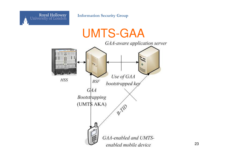

**Information Security Group**



23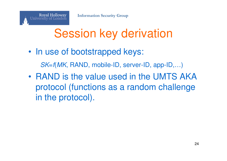

## Session key derivation

- • In use of bootstrapped keys: SK=f(MK, RAND, mobile-ID, server-ID, app-ID,…)
- •• RAND is the value used in the UMTS AKA protocol (functions as a random challenge in the protocol).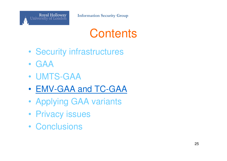

#### **Contents**

- •Security infrastructures
- •GAA
- •UMTS-GAA
- •EMV-GAA and TC-GAA
- •Applying GAA variants
- •Privacy issues
- •**Conclusions**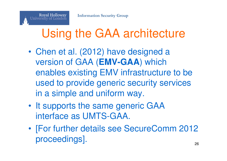## Using the GAA architecture

- • Chen et al. (2012) have designed a version of GAA (**EMV-GAA**) which enables existing EMV infrastructure to be used to provide generic security services in a simple and uniform way.
- •It supports the same generic GAA interface as UMTS-GAA.
- • [For further details see SecureComm <sup>2012</sup> proceedings].e e a construída de 1992. En 1992 e 1993 e 1994 e 1999 e 1999 e 1999 e 1999 e 1999 e 1999 e 1999 e 1999 e 199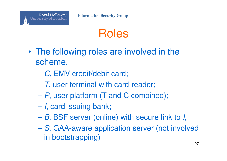## Roles

- • The following roles are involved in the scheme.
	- $\mathcal{L}_{\mathcal{A}}$  , the state of the state of the state  $\mathcal{L}_{\mathcal{A}}$  $-$  C, EMV credit/debit card;
	- **Hart Committee**  $-$  T, user terminal with card-reader;
	- <sup>P</sup>, user platform (T and C combined);
	- $\mathcal{L}_{\mathcal{A}}$  , the state of the state of the state  $\mathcal{L}_{\mathcal{A}}$ – *I*, card issuing bank;
	- $\mathcal{L}_{\mathcal{A}}$  $-B$ , BSF server (online) with secure link to *I*,
	- $\mathcal{L}_{\mathcal{A}}$  , the state of the state of the state  $\mathcal{L}_{\mathcal{A}}$ - S, GAA-aware application server (not involved in bootstrapping)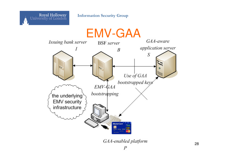



28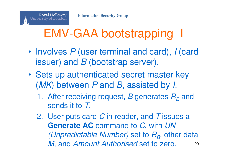# EMV-GAA bootstrapping I

- • Involves P (user terminal and card), <sup>I</sup> (card issuer) and  $B$  (bootstrap server).
- • Sets up authenticated secret master key (MK) between P and B, assisted by I.
	- 1. After receiving request, B generates  $R_B$  and sends it to T.
	- 2. User puts card  $C$  in reader, and  $T$  issues a **Generate AC** command to C, with UN *(Unpredictable Number)* set to  $R_{\scriptscriptstyle B}$ , other data M, and Amount Authorised set to zero. 29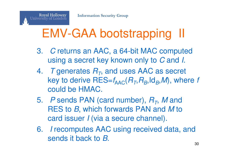## EMV-GAA bootstrapping II

- 3. C returns an AAC, a 64-bit MAC computed using a secret key known only to  $\boldsymbol{C}$  and *I*.
- 4. T generates  $R_T$ , and uses AAC as secret key to derive  $\mathsf{RES}{=}f_\mathsf{AAC}(R_\mathcal{T},R_\mathcal{B},\mathsf{Id}_B,\mathcal{M}),$  where  $f$ could be HMAC.
- 5. P sends PAN (card number),  $R_T$ , M and<br>DES to P which forwards DAN and M to RES to *B*, which forwards PAN and *M* to and incurry *Livia* a secure abannal card issuer I (via a secure channel).
- 6. I recomputes AAC using received data, and sends it back to B.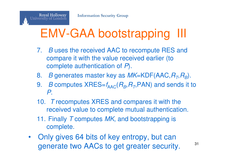## EMV-GAA bootstrapping III

- 7. *B* uses the received AAC to recompute RES and compare it with the value received earlier (to complete authentication of P).
- 8. B generates master key as  $\mathit{MK}$ =KDF(AAC, $R_{\mathit{T}},R_{\mathit{B}}$ ).
- 9. B*B* computes  $XRES=f_{\text{AAC}}(R_B, R_{\text{T}},PAN)$  and sends it to P.
- 10. T recomputes XRES and compares it with the received value to complete mutual authentication.
- 11. Finally T computes  $MK$ , and bootstrapping is complete.
- $\bullet$  Only gives 64 bits of key entropy, but can generate two AACs to get greater security. $\frac{31}{1}$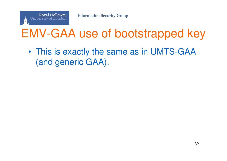## EMV-GAA use of bootstrapped key

• This is exactly the same as in UMTS-GAA (and generic GAA).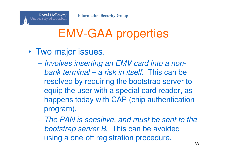

## EMV-GAA properties

- • Two major issues.
	- Involves inserting an EMV card into a nonbank terminal – a risk in itself. This can be resolved by requiring the bootstrap server to equip the user with a special card reader, as happens today with CAP (chip authentication program).
	- The PAN is sensitive, and must be sent to the bootstrap server B. This can be avoided using a one-off registration procedure.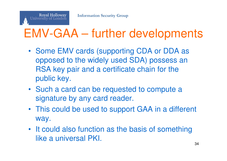

## EMV-GAA – further developments

- Some EMV cards (supporting CDA or DDA as opposed to the widely used SDA) possess an RSA key pair and a certificate chain for the public key.
- Such a card can be requested to compute a signature by any card reader.
- This could be used to support GAA in a different way.
- It could also function as the basis of something like a universal PKI.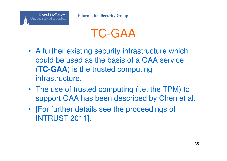

## TC-GAA

- A further existing security infrastructure which could be used as the basis of a GAA service (**TC-GAA**) is the trusted computing infrastructure.
- The use of trusted computing (i.e. the TPM) to support GAA has been described by Chen et al.
- [For further details see the proceedings of INTRUST 2011].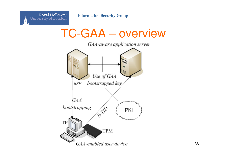

TC-GAA – overview

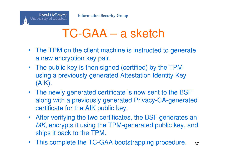

#### TC-GAA – a sketch

- The TPM on the client machine is instructed to generatea new encryption key pair.
- The public key is then signed (certified) by the TPM using a previously generated Attestation Identity Key (AIK).
- The newly generated certificate is now sent to the BSF along with a previously generated Privacy-CA-generated certificate for the AIK public key.
- After verifying the two certificates, the BSF generates an MK, encrypts it using the TPM-generated public key, and ships it back to the TPM.
- This complete the TC-GAA bootstrapping procedure.  $37$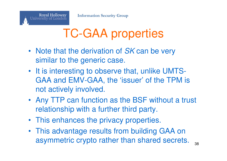

## TC-GAA properties

- Note that the derivation of SK can be very similar to the generic case.
- It is interesting to observe that, unlike UMTS-GAA and EMV-GAA, the 'issuer' of the TPM is not actively involved.
- Any TTP can function as the BSF without a trust relationship with a further third party.
- This enhances the privacy properties.
- This advantage results from building GAA on asymmetric crypto rather than shared secrets.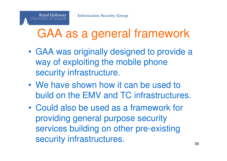

## GAA as a general framework

- • GAA was originally designed to provide a way of exploiting the mobile phone security infrastructure.
- • We have shown how it can be used to build on the EMV and TC infrastructures.
- • Could also be used as a framework for providing general purpose security services building on other pre-existing security infrastructures. 39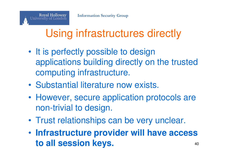**Royal Holloway** 

University of London

#### Using infrastructures directly

- •It is perfectly possible to design applications building directly on the trusted computing infrastructure.
- •Substantial literature now exists.
- • However, secure application protocols are non-trivial to design.
- •Trust relationships can be very unclear.
- • **Infrastructure provider will have access to all session keys.** $\blacksquare$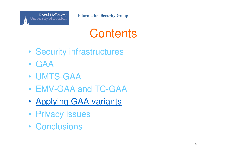

#### **Contents**

- •Security infrastructures
- •GAA
- •UMTS-GAA
- •EMV-GAA and TC-GAA
- •Applying GAA variants
- •Privacy issues
- •**Conclusions**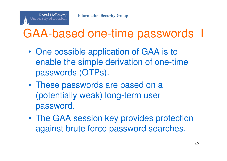

## GAA-based one-time passwords

- • One possible application of GAA is to enable the simple derivation of one-time passwords (OTPs).
- • These passwords are based on a (potentially weak) long-term user password.
- • The GAA session key provides protection against brute force password searches.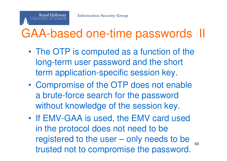

## GAA-based one-time passwords II

- • The OTP is computed as a function of the long-term user password and the short term application-specific session key.
- • Compromise of the OTP does not enable a brute-force search for the password without knowledge of the session key.
- • If EMV-GAA is used, the EMV card used in the protocol does not need to be registered to the user – only needs to be trusted not to compromise the password.43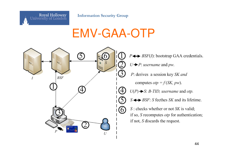

**Information Security Group**

#### EMV-GAA-OTP

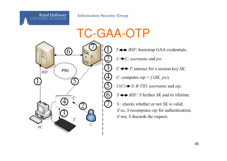

**Information Security Group**



 $T \leftrightarrow BSF$ : bootstrap GAA credentials.  $U \rightarrow C$ : *username* and *pw*.  $C \leftrightarrow T$ : interact for a session key SK. C: computes  $otp = f(SK, pw)$ .  $U(C) \rightarrow S$ : B-TID, username and otp.  $S \leftrightarrow BSF$ : S fecthes SK and its lifetime.  $S$ : checks whether or not  $SK$  is valid; if so,  $S$  recomputes  $otp$  for authentication; if not,  $S$  discards the request.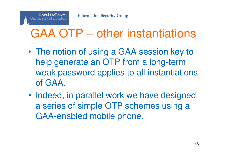## GAA OTP – other instantiations

- • The notion of using a GAA session key to help generate an OTP from a long-term weak password applies to all instantiations of GAA.
- • Indeed, in parallel work we have designed a series of simple OTP schemes using a GAA-enabled mobile phone.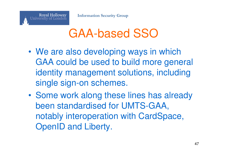

#### GAA-based SSO

- •We are also developing ways in which GAA could be used to build more general identity management solutions, including single sign-on schemes.
- • Some work along these lines has already been standardised for UMTS-GAA, notably interoperation with CardSpace, OpenID and Liberty.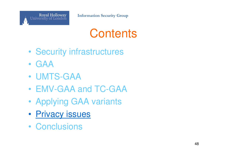

#### **Contents**

- •Security infrastructures
- •GAA
- •UMTS-GAA
- •EMV-GAA and TC-GAA
- •Applying GAA variants
- •**Privacy issues**
- •**Conclusions**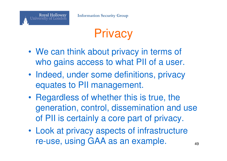

## **Privacy**

- •We can think about privacy in terms of who gains access to what PII of a user.
- • Indeed, under some definitions, privacy equates to PII management.
- • Regardless of whether this is true, the generation, control, dissemination and use of PII is certainly a core part of privacy.
- • Look at privacy aspects of infrastructure re-use, using GAA as an example. $\blacksquare$  49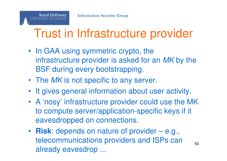**Royal Holloway** 

University of London

## Trust in Infrastructure provider

- In GAA using symmetric crypto, the infrastructure provider is asked for an MK by the BSF during every bootstrapping.
- The MK is not specific to any server.
- It gives general information about user activity.
- A 'nosy' infrastructure provider could use the MK to compute server/application-specific keys if it eavesdropped on connections.
- **Risk**: depends on nature of provider e.g., telecommunications providers and ISPs can already eavesdrop ...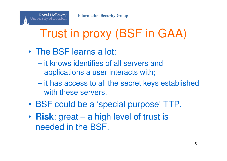# Trust in proxy (BSF in GAA)

- • The BSF learns a lot:
	- it knows identifies of all servers and applications a user interacts with;
	- **Hart Committee** - it has access to all the secret keys established with these servers.
- •BSF could be a 'special purpose' TTP.
- • **Risk**: great – a high level of trust is needed in the BSF.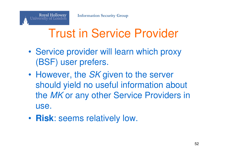

## Trust in Service Provider

- • Service provider will learn which proxy (BSF) user prefers.
- •However, the SK given to the server should yield no useful information about the *MK* or any other Service Providers in use.
- •**Risk**: seems relatively low.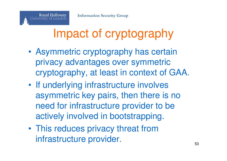

## Impact of cryptography

- • Asymmetric cryptography has certain privacy advantages over symmetric cryptography, at least in context of GAA.
- •• If underlying infrastructure involves asymmetric key pairs, then there is no need for infrastructure provider to be actively involved in bootstrapping.
- • This reduces privacy threat from infrastructure provider.53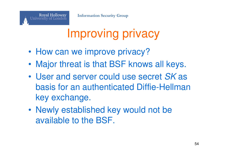## Improving privacy

•How can we improve privacy?

**Royal Holloway** 

University of London

- •Major threat is that BSF knows all keys.
- •• User and server could use secret SK as basis for an authenticated Diffie-Hellman key exchange.
- • Newly established key would not be available to the BSF.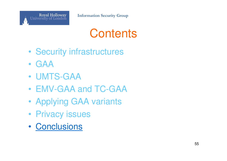

#### **Contents**

- •Security infrastructures
- •GAA
- •UMTS-GAA
- •EMV-GAA and TC-GAA
- •Applying GAA variants
- •Privacy issues
- •**Conclusions**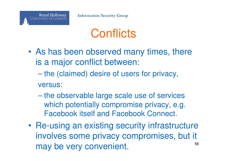

## **Conflicts**

- • As has been observed many times, there is a major conflict between:
	- $\mathcal{L}_{\mathcal{A}}$  , the state of the state of the state  $\mathcal{L}_{\mathcal{A}}$  the (claimed) desire of users for privacy, versus:
	- the observable large scale use of services which potentially compromise privacy, e.g. Facebook itself and Facebook Connect.
- • Re-using an existing security infrastructure involves some privacy compromises, but it may be very convenient. $\sim$  56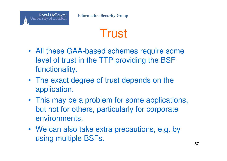## **Trust**

- All these GAA-based schemes require some level of trust in the TTP providing the BSF functionality.
- The exact degree of trust depends on the application.
- This may be a problem for some applications, but not for others, particularly for corporate environments.
- We can also take extra precautions, e.g. by using multiple BSFs.57